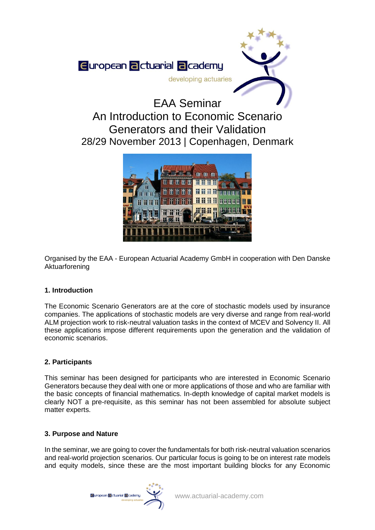

# An Introduction to Economic Scenario Generators and their Validation 28/29 November 2013 | Copenhagen, Denmark



Organised by the EAA - European Actuarial Academy GmbH in cooperation with Den Danske Aktuarforening

## **1. Introduction**

The Economic Scenario Generators are at the core of stochastic models used by insurance companies. The applications of stochastic models are very diverse and range from real-world ALM projection work to risk-neutral valuation tasks in the context of MCEV and Solvency II. All these applications impose different requirements upon the generation and the validation of economic scenarios.

## **2. Participants**

This seminar has been designed for participants who are interested in Economic Scenario Generators because they deal with one or more applications of those and who are familiar with the basic concepts of financial mathematics. In-depth knowledge of capital market models is clearly NOT a pre-requisite, as this seminar has not been assembled for absolute subject matter experts.

### **3. Purpose and Nature**

In the seminar, we are going to cover the fundamentals for both risk-neutral valuation scenarios and real-world projection scenarios. Our particular focus is going to be on interest rate models and equity models, since these are the most important building blocks for any Economic

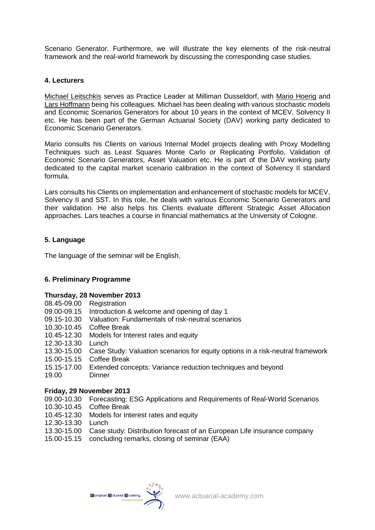Scenario Generator. Furthermore, we will illustrate the key elements of the risk-neutral framework and the real-world framework by discussing the corresponding case studies.

## **4. Lecturers**

Michael Leitschkis serves as Practice Leader at Milliman Dusseldorf, with Mario Hoerig and Lars Hoffmann being his colleagues. Michael has been dealing with various stochastic models and Economic Scenarios Generators for about 10 years in the context of MCEV, Solvency II etc. He has been part of the German Actuarial Society (DAV) working party dedicated to Economic Scenario Generators.

Mario consults his Clients on various Internal Model projects dealing with Proxy Modelling Techniques such as Least Squares Monte Carlo or Replicating Portfolio, Validation of Economic Scenario Generators, Asset Valuation etc. He is part of the DAV working party dedicated to the capital market scenario calibration in the context of Solvency II standard formula.

Lars consults his Clients on implementation and enhancement of stochastic models for MCEV, Solvency II and SST. In this role, he deals with various Economic Scenario Generators and their validation. He also helps his Clients evaluate different Strategic Asset Allocation approaches. Lars teaches a course in financial mathematics at the University of Cologne.

## **5. Language**

The language of the seminar will be English.

### **6. Preliminary Programme**

### **Thursday, 28 November 2013**

- 08.45-09.00 Registration
- 09.00-09.15 Introduction & welcome and opening of day 1
- 09.15-10.30 Valuation: Fundamentals of risk-neutral scenarios
- 10.30-10.45 Coffee Break
- 10.45-12.30 Models for Interest rates and equity
- 12.30-13.30 Lunch
- 13.30-15.00 Case Study: Valuation scenarios for equity options in a risk-neutral framework
- 15.00-15.15 Coffee Break
- 15.15-17.00 Extended concepts: Variance reduction techniques and beyond
- 19.00 Dinner

### **Friday, 29 November 2013**

- 09.00-10.30 Forecasting: ESG Applications and Requirements of Real-World Scenarios
- 10.30-10.45 Coffee Break
- 10.45-12.30 Models for Interest rates and equity
- 12.30-13.30 Lunch
- 13.30-15.00 Case study: Distribution forecast of an European Life insurance company
- 15.00-15.15 concluding remarks, closing of seminar (EAA)